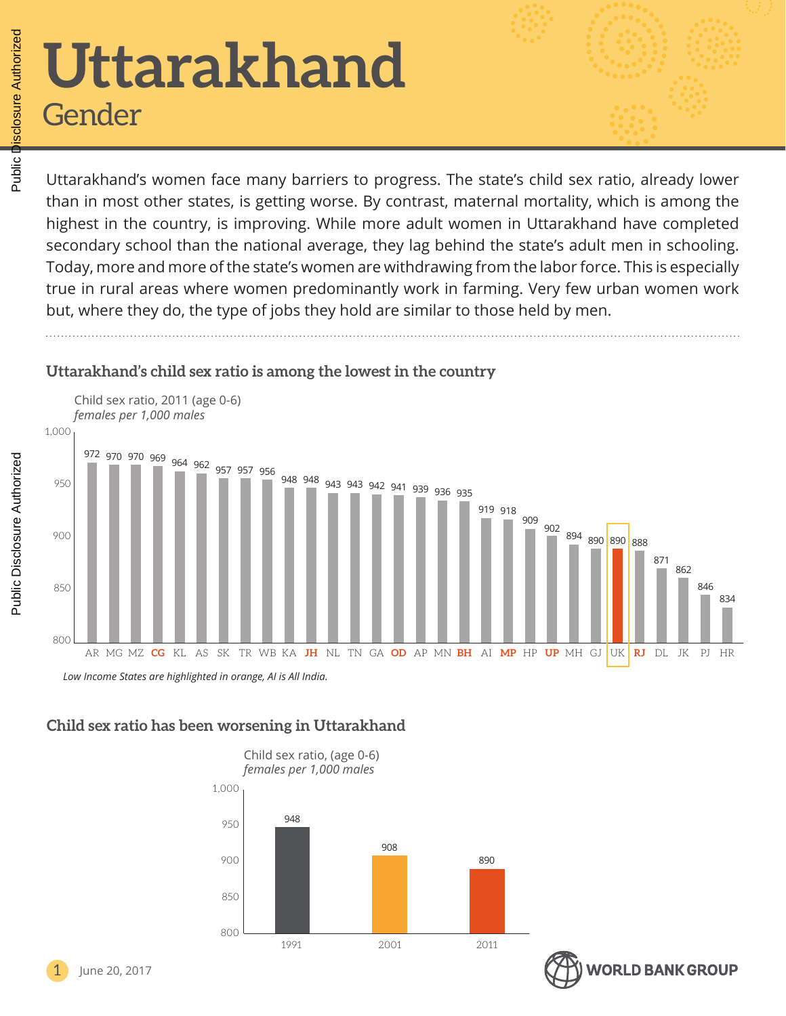# **Uttarakhand** Gender

Uttarakhand's women face many barriers to progress. The state's child sex ratio, already lower than in most other states, is getting worse. By contrast, maternal mortality, which is among the highest in the country, is improving. While more adult women in Uttarakhand have completed secondary school than the national average, they lag behind the state's adult men in schooling. Today, more and more of the state's women are withdrawing from the labor force. This is especially true in rural areas where women predominantly work in farming. Very few urban women work but, where they do, the type of jobs they hold are similar to those held by men.

# **Uttarakhand's child sex ratio is among the lowest in the country**



#### **Child sex ratio has been worsening in Uttarakhand**





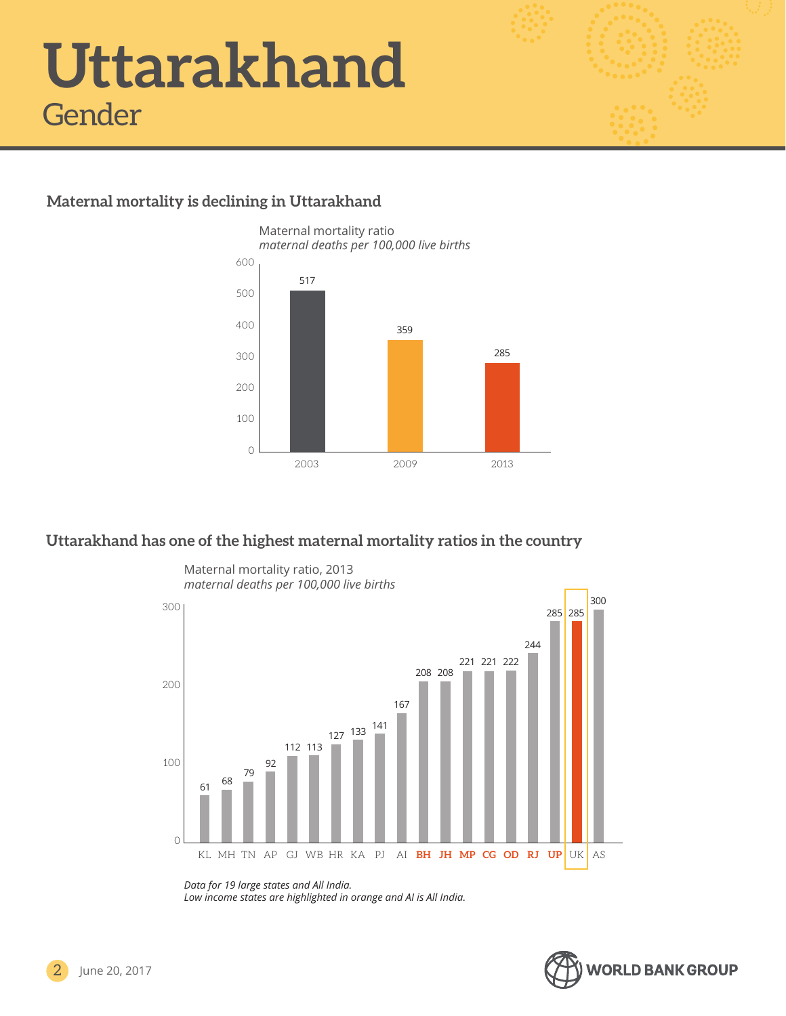### **Maternal mortality is declining in Uttarakhand**



#### **Uttarakhand has one of the highest maternal mortality ratios in the country**

Maternal mortality ratio, 2013



*Data for 19 large states and All India.* 

*Low income states are highlighted in orange and AI is All India.*

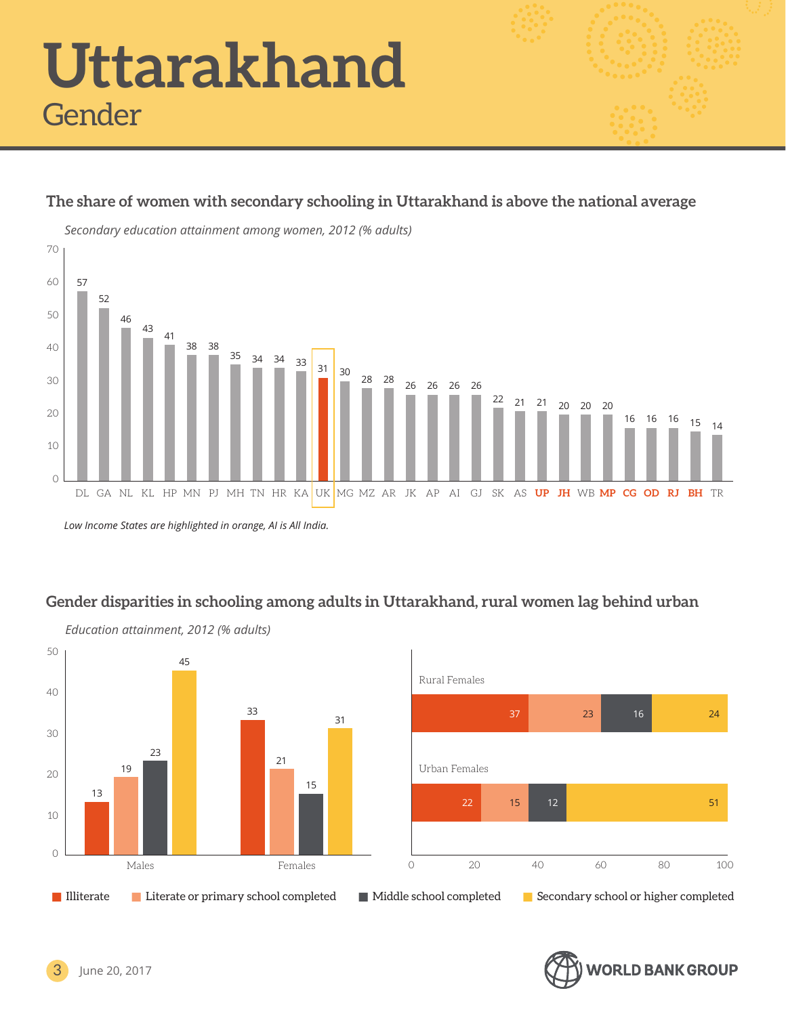# **The share of women with secondary schooling in Uttarakhand is above the national average**



*Low Income States are highlighted in orange, AI is All India.*

# **Gender disparities in schooling among adults in Uttarakhand, rural women lag behind urban**



**VORLD BANK GROUP** 

June 20, 2017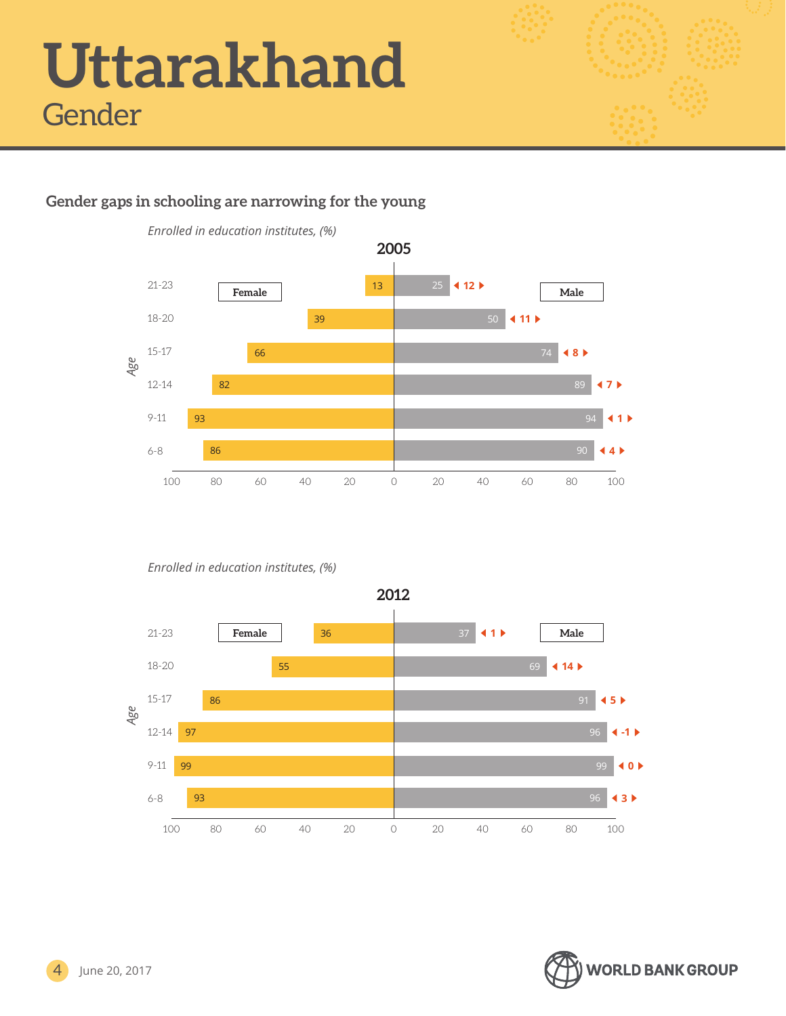

# **Gender gaps in schooling are narrowing for the young**



*Enrolled in education institutes, (%)*



**2012**

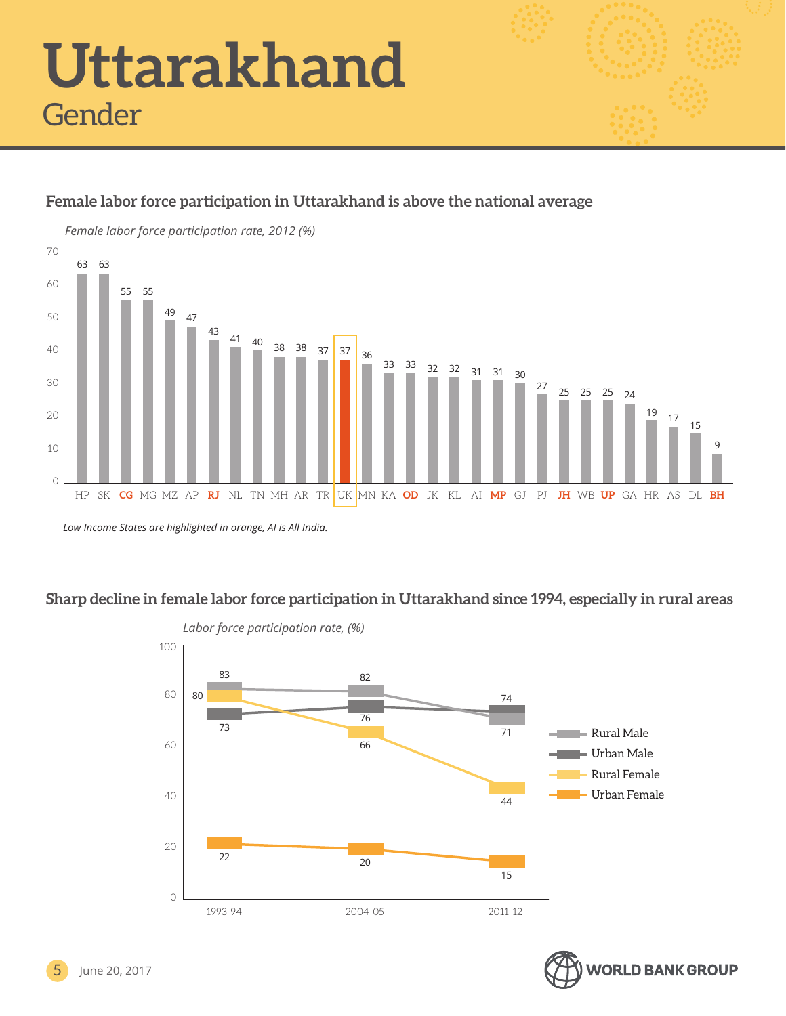# **Female labor force participation in Uttarakhand is above the national average** *Female labor force participation rate, 2012 (%)*



*Low Income States are highlighted in orange, AI is All India.*

# **Sharp decline in female labor force participation in Uttarakhand since 1994, especially in rural areas**